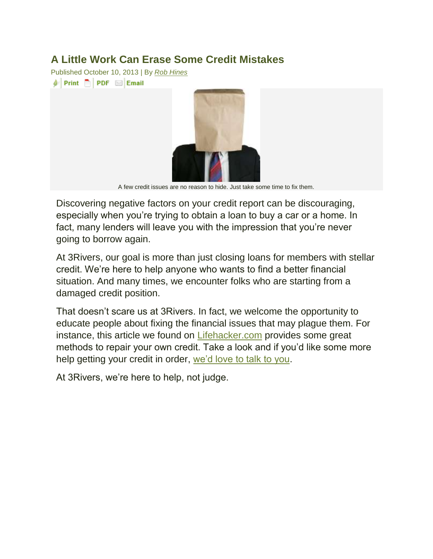### **A Little Work Can Erase Some Credit Mistakes**

Published October 10, 2013 | By *[Rob Hines](http://blog.3riversfcu.org/?author=10)*  $\phi$  Print  $\Box$  PDF  $\Box$  Email



A few credit issues are no reason to hide. Just take some time to fix them.

Discovering negative factors on your credit report can be discouraging, especially when you're trying to obtain a loan to buy a car or a home. In fact, many lenders will leave you with the impression that you're never going to borrow again.

At 3Rivers, our goal is more than just closing loans for members with stellar credit. We're here to help anyone who wants to find a better financial situation. And many times, we encounter folks who are starting from a damaged credit position.

That doesn't scare us at 3Rivers. In fact, we welcome the opportunity to educate people about fixing the financial issues that may plague them. For instance, this article we found on [Lifehacker.com](http://lifehacker.com/how-can-i-remove-blemishes-from-my-credit-report-1401854733) provides some great methods to repair your own credit. Take a look and if you'd like some more help getting your credit in order, [we'd love to talk to you.](https://www.3riversfcu.org/contacts.html)

At 3Rivers, we're here to help, not judge.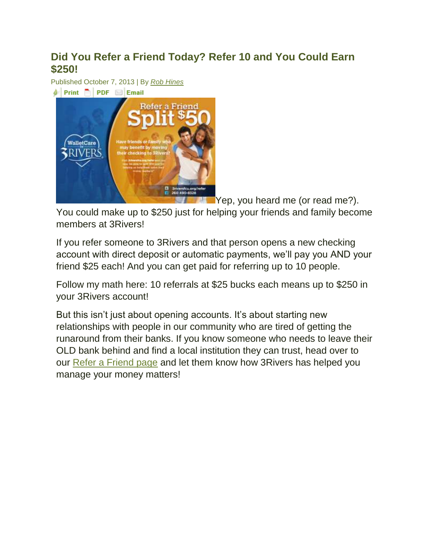## **Did You Refer a Friend Today? Refer 10 and You Could Earn \$250!**

Published October 7, 2013 | By *[Rob Hines](http://blog.3riversfcu.org/?author=10)*



[Y](https://www.3riversfcu.org/about_us/refer_a_friend.html)ep, you heard me (or read me?).

You could make up to \$250 just for helping your friends and family become members at 3Rivers!

If you refer someone to 3Rivers and that person opens a new checking account with direct deposit or automatic payments, we'll pay you AND your friend \$25 each! And you can get paid for referring up to 10 people.

Follow my math here: 10 referrals at \$25 bucks each means up to \$250 in your 3Rivers account!

But this isn't just about opening accounts. It's about starting new relationships with people in our community who are tired of getting the runaround from their banks. If you know someone who needs to leave their OLD bank behind and find a local institution they can trust, head over to our [Refer a Friend page](https://www.3riversfcu.org/about_us/refer_a_friend.html) and let them know how 3Rivers has helped you manage your money matters!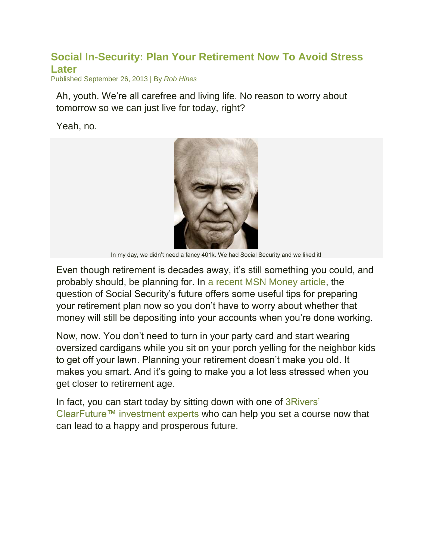### **[Social In-Security: Plan Your Retirement Now To Avoid Stress](http://blog.3riversfcu.org/?p=1458)  [Later](http://blog.3riversfcu.org/?p=1458)**

Published September 26, 2013 | By *[Rob Hines](http://blog.3riversfcu.org/?author=10)*

Ah, youth. We're all carefree and living life. No reason to worry about tomorrow so we can just live for today, right?

Yeah, no.



In my day, we didn't need a fancy 401k. We had Social Security and we liked it!

Even though retirement is decades away, it's still something you could, and probably should, be planning for. In [a recent MSN Money article,](http://money.msn.com/retirement/will-social-security-be-gone-when-you-retire) the question of Social Security's future offers some useful tips for preparing your retirement plan now so you don't have to worry about whether that money will still be depositing into your accounts when you're done working.

Now, now. You don't need to turn in your party card and start wearing oversized cardigans while you sit on your porch yelling for the neighbor kids to get off your lawn. Planning your retirement doesn't make you old. It makes you smart. And it's going to make you a lot less stressed when you get closer to retirement age.

In fact, you can start today by sitting down with one of [3Rivers'](https://www.3riversfcu.org/letstalkinvestments.html)  [ClearFuture™ investment experts](https://www.3riversfcu.org/letstalkinvestments.html) who can help you set a course now that can lead to a happy and prosperous future.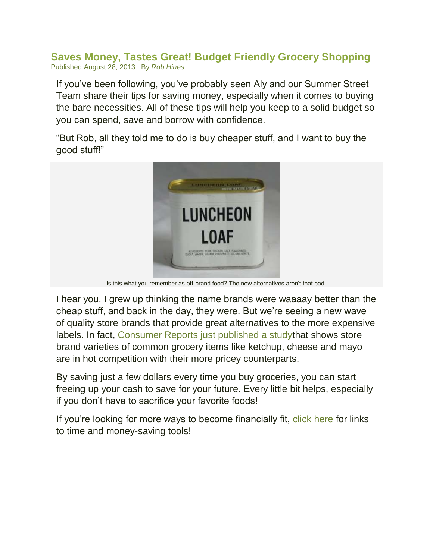**[Saves Money, Tastes Great! Budget Friendly Grocery Shopping](http://blog.3riversfcu.org/?p=1380)** Published August 28, 2013 | By *[Rob Hines](http://blog.3riversfcu.org/?author=10)*

If you've been following, you've probably seen Aly and our Summer Street Team share their tips for saving money, especially when it comes to buying the bare necessities. All of these tips will help you keep to a solid budget so you can spend, save and borrow with confidence.

"But Rob, all they told me to do is buy cheaper stuff, and I want to buy the good stuff!"



Is this what you remember as off-brand food? The new alternatives aren't that bad.

I hear you. I grew up thinking the name brands were waaaay better than the cheap stuff, and back in the day, they were. But we're seeing a new wave of quality store brands that provide great alternatives to the more expensive labels. In fact, [Consumer Reports just published a studyt](http://consumerreports.org/cro/magazine/2013/10/best-store-brands/index.htm)hat shows store brand varieties of common grocery items like ketchup, cheese and mayo are in hot competition with their more pricey counterparts.

By saving just a few dollars every time you buy groceries, you can start freeing up your cash to save for your future. Every little bit helps, especially if you don't have to sacrifice your favorite foods!

If you're looking for more ways to become financially fit, [click here](https://www.3riversfcu.org/your_life/life_events/financial_fitness.html) for links to time and money-saving tools!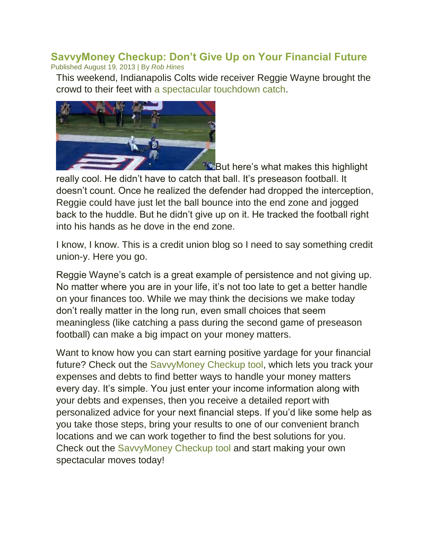#### **[SavvyMoney Checkup: Don't Give Up on Your Financial Future](http://blog.3riversfcu.org/?p=1350)** Published August 19, 2013 | By *[Rob Hines](http://blog.3riversfcu.org/?author=10)*

This weekend, Indianapolis Colts wide receiver Reggie Wayne brought the crowd to their feet with [a spectacular touchdown catch.](http://sports.yahoo.com/blogs/nfl-shutdown-corner/reggie-wayne-livens-preseason-couple-circus-catches-video-030241331.html)



**But here's what makes this highlight** 

really cool. He didn't have to catch that ball. It's preseason football. It doesn't count. Once he realized the defender had dropped the interception, Reggie could have just let the ball bounce into the end zone and jogged back to the huddle. But he didn't give up on it. He tracked the football right into his hands as he dove in the end zone.

I know, I know. This is a credit union blog so I need to say something credit union-y. Here you go.

Reggie Wayne's catch is a great example of persistence and not giving up. No matter where you are in your life, it's not too late to get a better handle on your finances too. While we may think the decisions we make today don't really matter in the long run, even small choices that seem meaningless (like catching a pass during the second game of preseason football) can make a big impact on your money matters.

Want to know how you can start earning positive yardage for your financial future? Check out the [SavvyMoney Checkup tool,](http://www.savvymoney.com/checkup/3riversfcu) which lets you track your expenses and debts to find better ways to handle your money matters every day. It's simple. You just enter your income information along with your debts and expenses, then you receive a detailed report with personalized advice for your next financial steps. If you'd like some help as you take those steps, bring your results to one of our convenient branch locations and we can work together to find the best solutions for you. Check out the [SavvyMoney Checkup tool](http://www.savvymoney.com/checkup/3riversfcu) and start making your own spectacular moves today!